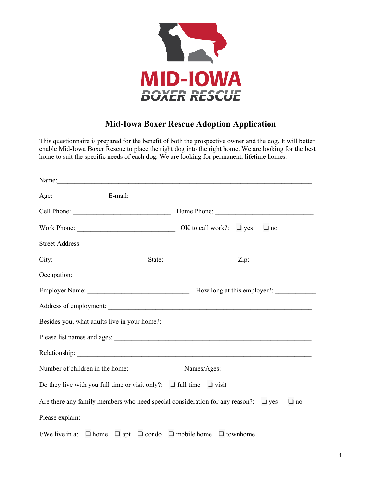

## **Mid-Iowa Boxer Rescue Adoption Application**

This questionnaire is prepared for the benefit of both the prospective owner and the dog. It will better enable Mid-Iowa Boxer Rescue to place the right dog into the right home. We are looking for the best home to suit the specific needs of each dog. We are looking for permanent, lifetime homes.

|                                                                                                      | Name:     |
|------------------------------------------------------------------------------------------------------|-----------|
|                                                                                                      |           |
|                                                                                                      |           |
|                                                                                                      | $\Box$ no |
|                                                                                                      |           |
|                                                                                                      |           |
|                                                                                                      |           |
|                                                                                                      |           |
|                                                                                                      |           |
|                                                                                                      |           |
|                                                                                                      |           |
|                                                                                                      |           |
|                                                                                                      |           |
| Do they live with you full time or visit only?: $\Box$ full time $\Box$ visit                        |           |
| Are there any family members who need special consideration for any reason?: $\Box$ yes<br>$\Box$ no |           |
|                                                                                                      |           |
| I/We live in a: $\Box$ home $\Box$ apt $\Box$ condo $\Box$ mobile home $\Box$ townhome               |           |